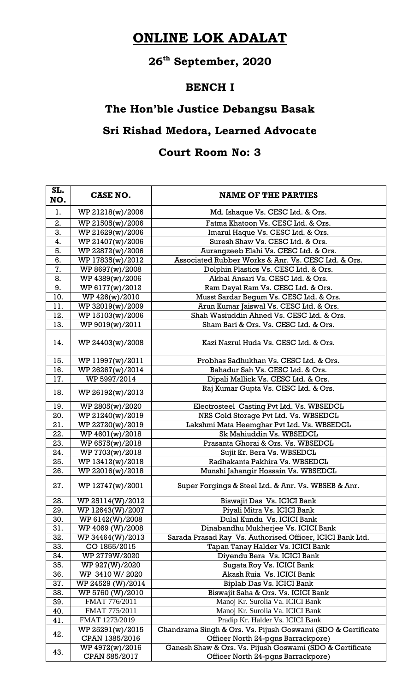# **ONLINE LOK ADALAT**

# **26th September, 2020**

#### **BENCH I**

## **The Hon'ble Justice Debangsu Basak**

### **Sri Rishad Medora, Learned Advocate**

#### **Court Room No: 3**

| SL.<br>NO. | <b>CASE NO.</b>                  | <b>NAME OF THE PARTIES</b>                                                                     |
|------------|----------------------------------|------------------------------------------------------------------------------------------------|
| 1.         | WP 21218(w)/2006                 | Md. Ishaque Vs. CESC Ltd. & Ors.                                                               |
| 2.         | WP 21505(w)/2006                 | Fatma Khatoon Vs. CESC Ltd. & Ors.                                                             |
| 3.         | WP 21629(w)/2006                 | Imarul Haque Vs. CESC Ltd. & Ors.                                                              |
| 4.         | WP 21407(w)/2006                 | Suresh Shaw Vs. CESC Ltd. & Ors.                                                               |
| 5.         | WP 22872(w)/2006                 | Aurangzeeb Elahi Vs. CESC Ltd. & Ors.                                                          |
| 6.         | WP 17835(w)/2012                 | Associated Rubber Works & Anr. Vs. CESC Ltd. & Ors.                                            |
| 7.         | WP 8697(w)/2008                  | Dolphin Plastics Vs. CESC Ltd. & Ors.                                                          |
| 8.         | WP 4389(w)/2006                  | Akbal Ansari Vs. CESC Ltd. & Ors.                                                              |
| 9.         | WP 6177(w)/2012                  | Ram Dayal Ram Vs. CESC Ltd. & Ors.                                                             |
| 10.        | WP 426(w)/2010                   | Musst Sardar Begum Vs. CESC Ltd. & Ors.                                                        |
| 11.        | WP 32019(w)/2009                 | Arun Kumar Jaiswal Vs. CESC Ltd. & Ors.                                                        |
| 12.        | WP 15103(w)/2006                 | Shah Wasiuddin Ahned Vs. CESC Ltd. & Ors.                                                      |
| 13.        | WP 9019(w)/2011                  | Sham Bari & Ors. Vs. CESC Ltd. & Ors.                                                          |
| 14.        | WP 24403(w)/2008                 | Kazi Nazrul Huda Vs. CESC Ltd. & Ors.                                                          |
| 15.        | WP 11997(w)/2011                 | Probhas Sadhukhan Vs. CESC Ltd. & Ors.                                                         |
| 16.        | WP 26267(w)/2014                 | Bahadur Sah Vs. CESC Ltd. & Ors.                                                               |
| 17.        | WP 5997/2014                     | Dipali Mallick Vs. CESC Ltd. & Ors.                                                            |
| 18.        | WP 26192(w)/2013                 | Raj Kumar Gupta Vs. CESC Ltd. & Ors.                                                           |
| 19.        | WP 2805(w)/2020                  | Electrosteel Casting Pvt Ltd. Vs. WBSEDCL                                                      |
| 20.        | WP 21240(w)/2019                 | NRS Cold Storage Pvt Ltd. Vs. WBSEDCL                                                          |
| 21.        | WP 22720(w)/2019                 | Lakshmi Mata Heemghar Pvt Ltd. Vs. WBSEDCL                                                     |
| 22.        | WP 4601(w)/2018                  | Sk Mahiuddin Vs. WBSEDCL                                                                       |
| 23.        | WP 6575(w)/2018                  | Prasanta Ghorai & Ors. Vs. WBSEDCL                                                             |
| 24.        | WP 7703(w)/2018                  | Sujit Kr. Bera Vs. WBSEDCL                                                                     |
| 25.        | WP 13412(w)/2018                 | Radhakanta Pakhira Vs. WBSEDCL                                                                 |
| 26.        | WP 22016(w)/2018                 | Munshi Jahangir Hossain Vs. WBSEDCL                                                            |
| 27.        | WP 12747(w)/2001                 | Super Forgings & Steel Ltd. & Anr. Vs. WBSEB & Anr.                                            |
| 28.        | WP 25114(W)/2012                 | Biswajit Das Vs. ICICI Bank                                                                    |
| 29.        | WP 12643(W)/2007                 | Piyali Mitra Vs. ICICI Bank                                                                    |
| 30.        | WP 6142(W)/2008                  | Dulal Kundu Vs. ICICI Bank                                                                     |
| 31.        | WP 4069 (W)/2008                 | Dinabandhu Mukherjee Vs. ICICI Bank                                                            |
| 32.        | WP 34464(W)/2013                 | Sarada Prasad Ray Vs. Authorised Officer, ICICI Bank Ltd.                                      |
| 33.        | CO 1855/2015                     | Tapan Tanay Halder Vs. ICICI Bank                                                              |
| 34.        | WP 2779W/2020                    | Diyendu Bera Vs. ICICI Bank                                                                    |
| 35.        | WP 927(W)/2020                   | Sugata Roy Vs. ICICI Bank                                                                      |
| 36.        | WP 3410 W/2020                   | Akash Ruia Vs. ICICI Bank                                                                      |
| 37.        | WP 24529 (W)/2014                | Biplab Das Vs. ICICI Bank                                                                      |
| 38.        | WP 5760 (W)/2010                 | Biswajit Saha & Ors. Vs. ICICI Bank                                                            |
| 39.        | FMAT 776/2011                    | Manoj Kr. Surolia Va. ICICI Bank                                                               |
| 40.        | FMAT 775/2011                    | Manoj Kr. Surolia Va. ICICI Bank                                                               |
| 41.        | FMAT 1273/2019                   | Pradip Kr. Halder Vs. ICICI Bank                                                               |
| 42.        | WP 25291(w)/2015                 | Chandrama Singh & Ors. Vs. Pijush Goswami (SDO & Certificate                                   |
|            | CPAN 1385/2016                   | Officer North 24-pgns Barrackpore)                                                             |
| 43.        | WP 4972(w)/2016<br>CPAN 585/2017 | Ganesh Shaw & Ors. Vs. Pijush Goswami (SDO & Certificate<br>Officer North 24-pgns Barrackpore) |
|            |                                  |                                                                                                |